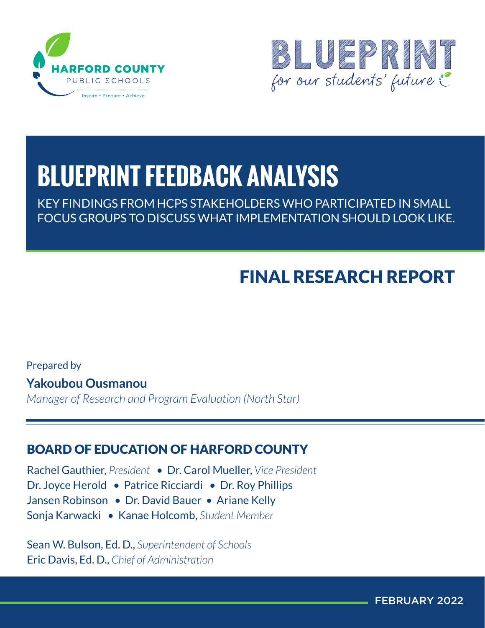



# **BLUEPRINT FEEDBACK ANALYSIS**

KEY FINDINGS FROM HCPS STAKEHOLDERS WHO PARTICIPATED IN SMALL FOCUS GROUPS TO DISCUSS WHAT IMPLEMENTATION SHOULD LOOK LIKE.

# FINAL RESEARCH REPORT

Prepared by

**Yakoubou Ousmanou**

*Manager of Research and Program Evaluation (North Star)*

# BOARD OF EDUCATION OF HARFORD COUNTY

Rachel Gauthier, *President* • Dr. Carol Mueller, *Vice President* Dr. Joyce Herold • Patrice Ricciardi • Dr. Roy Phillips Jansen Robinson • Dr. David Bauer • Ariane Kelly Sonja Karwacki • Kanae Holcomb, *Student Member*

Sean W. Bulson, Ed. D., *Superintendent of Schools* Eric Davis, Ed. D., *Chief of Administration*

FEBRUARY 2022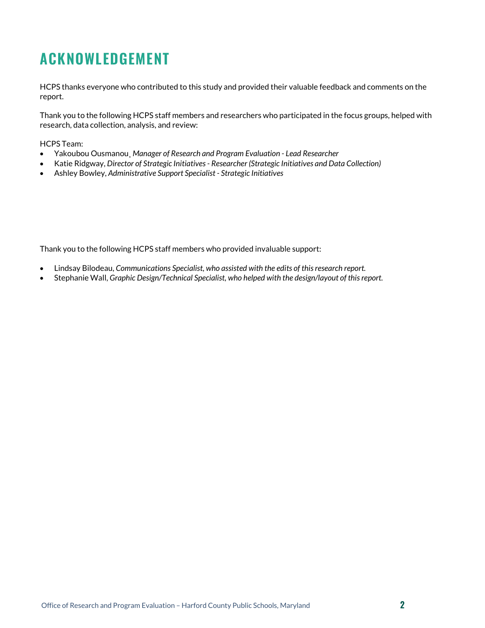# <span id="page-1-0"></span>**ACKNOWLEDGEMENT**

HCPS thanks everyone who contributed to this study and provided their valuable feedback and comments on the report.

Thank you to the following HCPS staff members and researchers who participated in the focus groups, helped with research, data collection, analysis, and review:

HCPS Team:

- Yakoubou Ousmanou¸ *Manager of Research and Program Evaluation - Lead Researcher*
- Katie Ridgway, *Director of Strategic Initiatives - Researcher (Strategic Initiatives and Data Collection)*
- Ashley Bowley, *Administrative Support Specialist - Strategic Initiatives*

Thank you to the following HCPS staff members who provided invaluable support:

- Lindsay Bilodeau, *Communications Specialist, who assisted with the edits of this research report.*
- Stephanie Wall, *Graphic Design/Technical Specialist, who helped with the design/layout of this report.*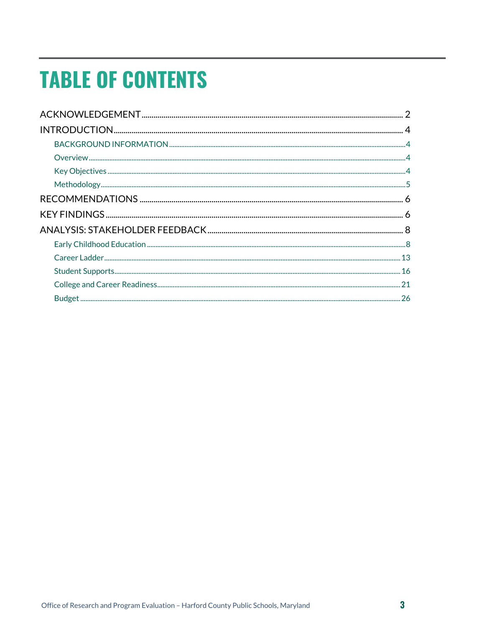# **TABLE OF CONTENTS**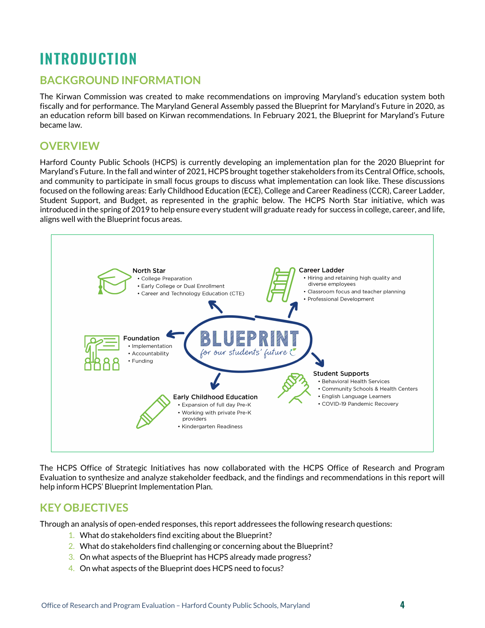# <span id="page-3-0"></span>**INTRODUCTION**

### <span id="page-3-1"></span>**BACKGROUND INFORMATION**

The Kirwan Commission was created to make recommendations on improving Maryland's education system both fiscally and for performance. The Maryland General Assembly passed the Blueprint for Maryland's Future in 2020, as an education reform bill based on Kirwan recommendations. In February 2021, the Blueprint for Maryland's Future became law.

### <span id="page-3-2"></span>**OVERVIEW**

Harford County Public Schools (HCPS) is currently developing an implementation plan for the 2020 Blueprint for Maryland's Future. In the fall and winter of 2021, HCPS brought together stakeholders from its Central Office, schools, and community to participate in small focus groups to discuss what implementation can look like. These discussions focused on the following areas: Early Childhood Education (ECE), College and Career Readiness (CCR), Career Ladder, Student Support, and Budget, as represented in the graphic below. The HCPS North Star initiative, which was introduced in the spring of 2019 to help ensure every student will graduate ready for success in college, career, and life, aligns well with the Blueprint focus areas.



The HCPS Office of Strategic Initiatives has now collaborated with the HCPS Office of Research and Program Evaluation to synthesize and analyze stakeholder feedback, and the findings and recommendations in this report will help inform HCPS' Blueprint Implementation Plan.

### <span id="page-3-3"></span>**KEY OBJECTIVES**

Through an analysis of open-ended responses, this report addressees the following research questions:

- 1. What do stakeholders find exciting about the Blueprint?
- 2. What do stakeholders find challenging or concerning about the Blueprint?
- 3. On what aspects of the Blueprint has HCPS already made progress?
- 4. On what aspects of the Blueprint does HCPS need to focus?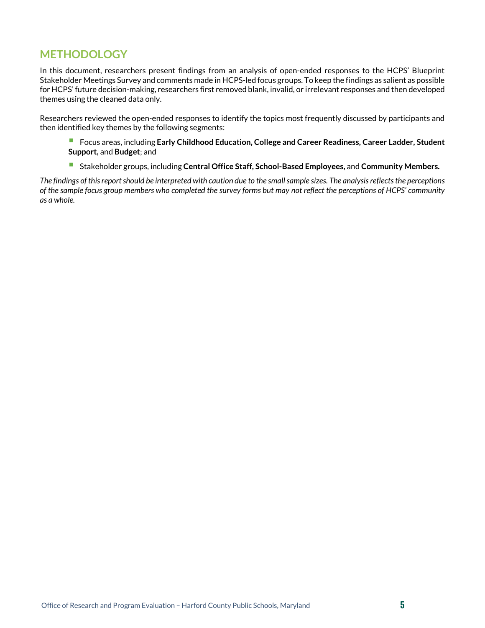### <span id="page-4-0"></span>**METHODOLOGY**

In this document, researchers present findings from an analysis of open-ended responses to the HCPS' Blueprint Stakeholder Meetings Survey and comments made in HCPS-led focus groups. To keep the findings as salient as possible for HCPS' future decision-making, researchers first removed blank, invalid, or irrelevant responses and then developed themes using the cleaned data only.

Researchers reviewed the open-ended responses to identify the topics most frequently discussed by participants and then identified key themes by the following segments:

- Focus areas, including **Early Childhood Education, College and Career Readiness, Career Ladder, Student Support,** and **Budget**; and
- Stakeholder groups, including **Central Office Staff, School-Based Employees,** and **Community Members.**

*The findings of this report should be interpreted with caution due to the small sample sizes. The analysis reflects the perceptions of the sample focus group members who completed the survey forms but may not reflect the perceptions of HCPS' community as a whole.*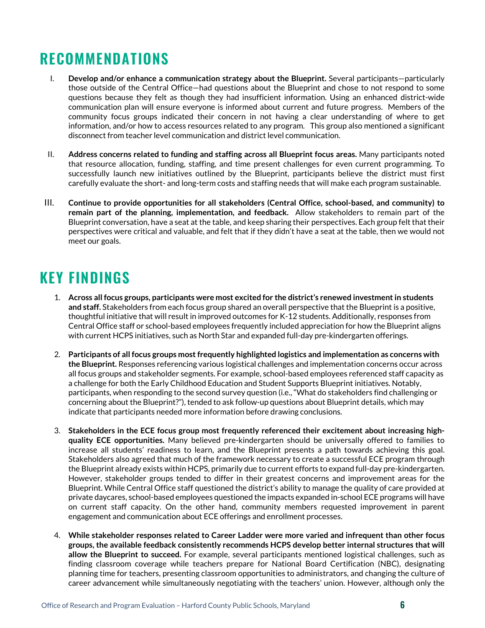# <span id="page-5-0"></span>**RECOMMENDATIONS**

- I. **Develop and/or enhance a communication strategy about the Blueprint.** Several participants—particularly those outside of the Central Office—had questions about the Blueprint and chose to not respond to some questions because they felt as though they had insufficient information. Using an enhanced district-wide communication plan will ensure everyone is informed about current and future progress. Members of the community focus groups indicated their concern in not having a clear understanding of where to get information, and/or how to access resources related to any program. This group also mentioned a significant disconnect from teacher level communication and district level communication.
- II. **Address concerns related to funding and staffing across all Blueprint focus areas.** Many participants noted that resource allocation, funding, staffing, and time present challenges for even current programming. To successfully launch new initiatives outlined by the Blueprint, participants believe the district must first carefully evaluate the short- and long-term costs and staffing needs that will make each program sustainable.
- III. **Continue to provide opportunities for all stakeholders (Central Office, school-based, and community) to remain part of the planning, implementation, and feedback.** Allow stakeholders to remain part of the Blueprint conversation, have a seat at the table, and keep sharing their perspectives. Each group felt that their perspectives were critical and valuable, and felt that if they didn't have a seat at the table, then we would not meet our goals.

# <span id="page-5-1"></span>**KEY FINDINGS**

- 1. **Across all focus groups, participants were most excited for the district's renewed investment in students and staff.** Stakeholders from each focus group shared an overall perspective that the Blueprint is a positive, thoughtful initiative that will result in improved outcomes for K-12 students. Additionally, responses from Central Office staff or school-based employees frequently included appreciation for how the Blueprint aligns with current HCPS initiatives, such as North Star and expanded full-day pre-kindergarten offerings.
- 2. **Participants of all focus groups most frequently highlighted logistics and implementation as concerns with the Blueprint.** Responses referencing various logistical challenges and implementation concerns occur across all focus groups and stakeholder segments. For example, school-based employees referenced staff capacity as a challenge for both the Early Childhood Education and Student Supports Blueprint initiatives. Notably, participants, when responding to the second survey question (i.e., "What do stakeholders find challenging or concerning about the Blueprint?"), tended to ask follow-up questions about Blueprint details, which may indicate that participants needed more information before drawing conclusions.
- 3. **Stakeholders in the ECE focus group most frequently referenced their excitement about increasing highquality ECE opportunities.** Many believed pre-kindergarten should be universally offered to families to increase all students' readiness to learn, and the Blueprint presents a path towards achieving this goal. Stakeholders also agreed that much of the framework necessary to create a successful ECE program through the Blueprint already exists within HCPS, primarily due to current efforts to expand full-day pre-kindergarten. However, stakeholder groups tended to differ in their greatest concerns and improvement areas for the Blueprint. While Central Office staff questioned the district's ability to manage the quality of care provided at private daycares, school-based employees questioned the impacts expanded in-school ECE programs will have on current staff capacity. On the other hand, community members requested improvement in parent engagement and communication about ECE offerings and enrollment processes.
- 4. **While stakeholder responses related to Career Ladder were more varied and infrequent than other focus groups, the available feedback consistently recommends HCPS develop better internal structures that will allow the Blueprint to succeed.** For example, several participants mentioned logistical challenges, such as finding classroom coverage while teachers prepare for National Board Certification (NBC), designating planning time for teachers, presenting classroom opportunities to administrators, and changing the culture of career advancement while simultaneously negotiating with the teachers' union. However, although only the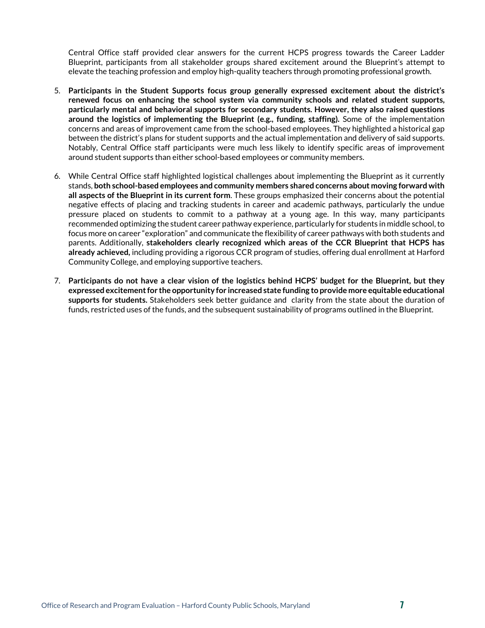Central Office staff provided clear answers for the current HCPS progress towards the Career Ladder Blueprint, participants from all stakeholder groups shared excitement around the Blueprint's attempt to elevate the teaching profession and employ high-quality teachers through promoting professional growth.

- 5. **Participants in the Student Supports focus group generally expressed excitement about the district's renewed focus on enhancing the school system via community schools and related student supports, particularly mental and behavioral supports for secondary students. However, they also raised questions around the logistics of implementing the Blueprint (e.g., funding, staffing).** Some of the implementation concerns and areas of improvement came from the school-based employees. They highlighted a historical gap between the district's plans for student supports and the actual implementation and delivery of said supports. Notably, Central Office staff participants were much less likely to identify specific areas of improvement around student supports than either school-based employees or community members.
- 6. While Central Office staff highlighted logistical challenges about implementing the Blueprint as it currently stands, **both school-based employees and community members shared concerns about moving forward with all aspects of the Blueprint in its current form**. These groups emphasized their concerns about the potential negative effects of placing and tracking students in career and academic pathways, particularly the undue pressure placed on students to commit to a pathway at a young age. In this way, many participants recommended optimizing the student career pathway experience, particularly for students in middle school, to focus more on career "exploration" and communicate the flexibility of career pathways with both students and parents. Additionally, **stakeholders clearly recognized which areas of the CCR Blueprint that HCPS has already achieved,** including providing a rigorous CCR program of studies, offering dual enrollment at Harford Community College, and employing supportive teachers.
- 7. **Participants do not have a clear vision of the logistics behind HCPS' budget for the Blueprint, but they expressed excitement for the opportunity for increased state funding to provide more equitable educational supports for students.** Stakeholders seek better guidance and clarity from the state about the duration of funds, restricted uses of the funds, and the subsequent sustainability of programs outlined in the Blueprint.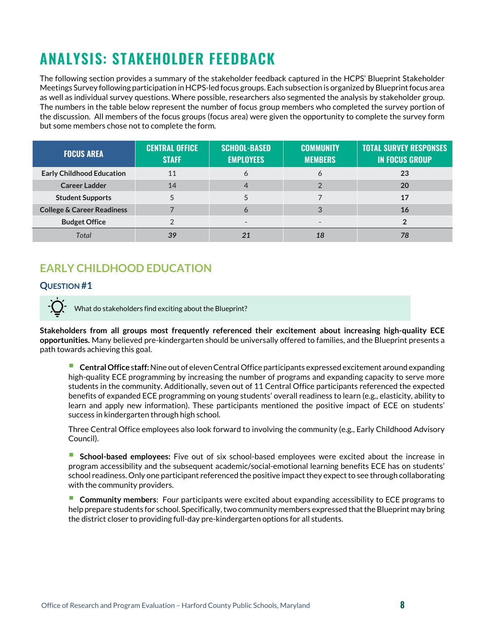# <span id="page-7-0"></span>**ANALYSIS: STAKEHOLDER FEEDBACK**

The following section provides a summary of the stakeholder feedback captured in the HCPS' Blueprint Stakeholder Meetings Survey following participation in HCPS-led focus groups. Each subsection is organized by Blueprint focus area as well as individual survey questions. Where possible, researchers also segmented the analysis by stakeholder group. The numbers in the table below represent the number of focus group members who completed the survey portion of the discussion. All members of the focus groups (focus area) were given the opportunity to complete the survey form but some members chose not to complete the form.

| <b>FOCUS AREA</b>                     | <b>CENTRAL OFFICE</b><br><b>STAFF</b> | <b>SCHOOL-BASED</b><br><b>EMPLOYEES</b> | <b>COMMUNITY</b><br><b>MEMBERS</b> | <b>TOTAL SURVEY RESPONSES</b><br><b>IN FOCUS GROUP</b> |
|---------------------------------------|---------------------------------------|-----------------------------------------|------------------------------------|--------------------------------------------------------|
| <b>Early Childhood Education</b>      | 11                                    | Ô                                       | $\circ$                            | 23                                                     |
| <b>Career Ladder</b>                  | 14                                    |                                         |                                    | <b>20</b>                                              |
| <b>Student Supports</b>               |                                       |                                         |                                    | 17                                                     |
| <b>College &amp; Career Readiness</b> |                                       | Ô                                       |                                    | 16                                                     |
| <b>Budget Office</b>                  |                                       |                                         | $\overline{\phantom{0}}$           |                                                        |
| Total                                 | 39                                    |                                         |                                    | 78                                                     |

# <span id="page-7-1"></span>**EARLY CHILDHOOD EDUCATION**

#### **QUESTION #1**

What do stakeholders find exciting about the Blueprint?

**Stakeholders from all groups most frequently referenced their excitement about increasing high-quality ECE opportunities.** Many believed pre-kindergarten should be universally offered to families, and the Blueprint presents a path towards achieving this goal.

 **Central Office** <sup>s</sup>**taff:**Nine out of eleven Central Office participants expressed excitement around expanding high-quality ECE programming by increasing the number of programs and expanding capacity to serve more students in the community. Additionally, seven out of 11 Central Office participants referenced the expected benefits of expanded ECE programming on young students' overall readiness to learn (e.g., elasticity, ability to learn and apply new information). These participants mentioned the positive impact of ECE on students' success in kindergarten through high school.

Three Central Office employees also look forward to involving the community (e.g., Early Childhood Advisory Council).

 **School-based employees:** Five out of six school-based employees were excited about the increase in program accessibility and the subsequent academic/social-emotional learning benefits ECE has on students' school readiness. Only one participant referenced the positive impact they expect to see through collaborating with the community providers.

 **Community members**: Four participants were excited about expanding accessibility to ECE programs to help prepare students for school. Specifically, two community members expressed that the Blueprint may bring the district closer to providing full-day pre-kindergarten options for all students.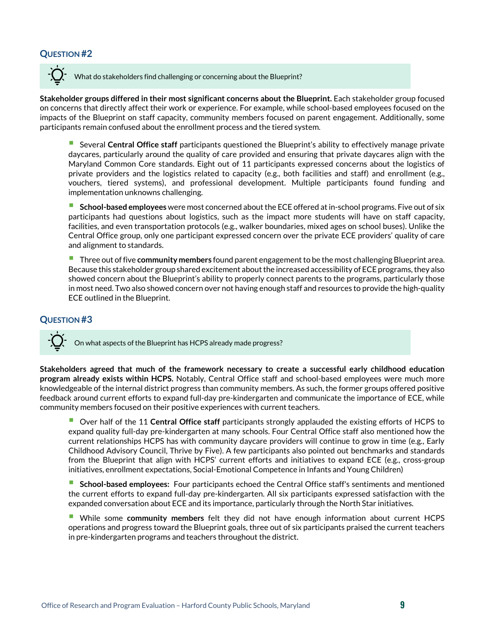#### **QUESTION #2**

What do stakeholders find challenging or concerning about the Blueprint?

**Stakeholder groups differed in their most significant concerns about the Blueprint.** Each stakeholder group focused on concerns that directly affect their work or experience. For example, while school-based employees focused on the impacts of the Blueprint on staff capacity, community members focused on parent engagement. Additionally, some participants remain confused about the enrollment process and the tiered system.

 Several **Central Office staff** participants questioned the Blueprint's ability to effectively manage private daycares, particularly around the quality of care provided and ensuring that private daycares align with the Maryland Common Core standards. Eight out of 11 participants expressed concerns about the logistics of private providers and the logistics related to capacity (e.g., both facilities and staff) and enrollment (e.g., vouchers, tiered systems), and professional development. Multiple participants found funding and implementation unknowns challenging.

 **School-based employees** were most concerned about the ECE offered at in-school programs. Five out of six participants had questions about logistics, such as the impact more students will have on staff capacity, facilities, and even transportation protocols (e.g., walker boundaries, mixed ages on school buses). Unlike the Central Office group, only one participant expressed concern over the private ECE providers' quality of care and alignment to standards.

**Three out of five community members** found parent engagement to be the most challenging Blueprint area. Because this stakeholder group shared excitement about the increased accessibility of ECE programs, they also showed concern about the Blueprint's ability to properly connect parents to the programs, particularly those in most need. Two also showed concern over not having enough staff and resources to provide the high-quality ECE outlined in the Blueprint.

#### **QUESTION #3**

On what aspects of the Blueprint has HCPS already made progress?

**Stakeholders agreed that much of the framework necessary to create a successful early childhood education program already exists within HCPS.** Notably, Central Office staff and school-based employees were much more knowledgeable of the internal district progress than community members. As such, the former groups offered positive feedback around current efforts to expand full-day pre-kindergarten and communicate the importance of ECE, while community members focused on their positive experiences with current teachers.

 Over half of the <sup>11</sup> **Central Office staff** participants strongly applauded the existing efforts of HCPS to expand quality full-day pre-kindergarten at many schools. Four Central Office staff also mentioned how the current relationships HCPS has with community daycare providers will continue to grow in time (e.g., Early Childhood Advisory Council, Thrive by Five). A few participants also pointed out benchmarks and standards from the Blueprint that align with HCPS' current efforts and initiatives to expand ECE (e.g., cross-group initiatives, enrollment expectations, Social-Emotional Competence in Infants and Young Children)

 **School-based employees:** Four participants echoed the Central Office staff's sentiments and mentioned the current efforts to expand full-day pre-kindergarten. All six participants expressed satisfaction with the expanded conversation about ECE and its importance, particularly through the North Star initiatives.

 While some **community members** felt they did not have enough information about current HCPS operations and progress toward the Blueprint goals, three out of six participants praised the current teachers in pre-kindergarten programs and teachers throughout the district.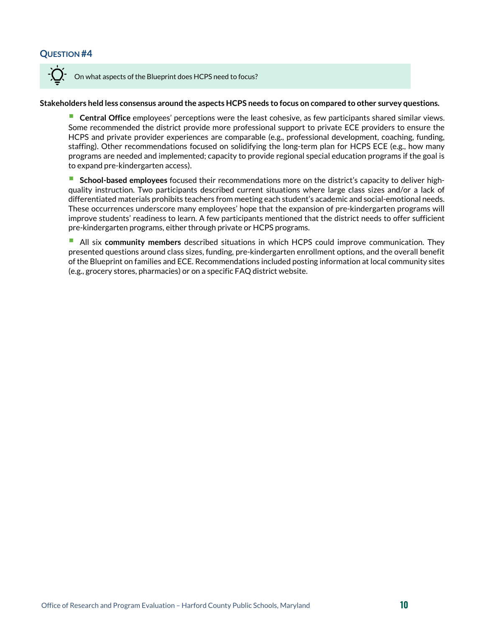#### **QUESTION #4**



On what aspects of the Blueprint does HCPS need to focus?

#### **Stakeholders held less consensus around the aspects HCPS needs to focus on compared to other survey questions.**

 **Central Office** employees' perceptions were the least cohesive, as few participants shared similar views. Some recommended the district provide more professional support to private ECE providers to ensure the HCPS and private provider experiences are comparable (e.g., professional development, coaching, funding, staffing). Other recommendations focused on solidifying the long-term plan for HCPS ECE (e.g., how many programs are needed and implemented; capacity to provide regional special education programs if the goal is to expand pre-kindergarten access).

 **School-based employees** focused their recommendations more on the district's capacity to deliver highquality instruction. Two participants described current situations where large class sizes and/or a lack of differentiated materials prohibits teachers from meeting each student's academic and social-emotional needs. These occurrences underscore many employees' hope that the expansion of pre-kindergarten programs will improve students' readiness to learn. A few participants mentioned that the district needs to offer sufficient pre-kindergarten programs, either through private or HCPS programs.

 All six **community members** described situations in which HCPS could improve communication. They presented questions around class sizes, funding, pre-kindergarten enrollment options, and the overall benefit of the Blueprint on families and ECE. Recommendations included posting information at local community sites (e.g., grocery stores, pharmacies) or on a specific FAQ district website.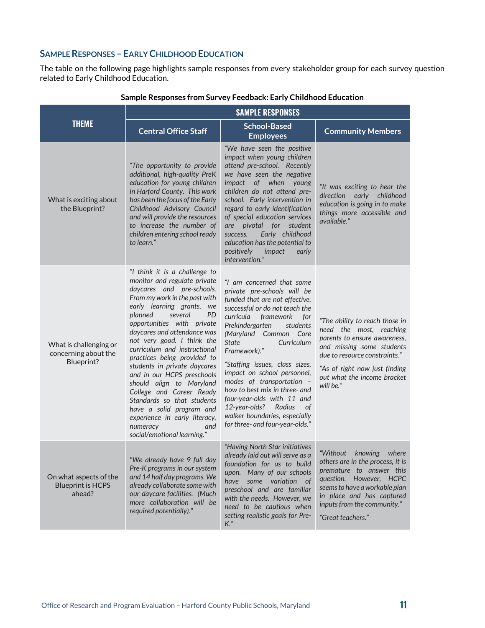#### **SAMPLE RESPONSES – EARLY CHILDHOOD EDUCATION**

The table on the following page highlights sample responses from every stakeholder group for each survey question related to Early Childhood Education.

|                                                              | <b>SAMPLE RESPONSES</b>                                                                                                                                                                                                                                                                                                                                                                                                                                                                                                                                                                                                  |                                                                                                                                                                                                                                                                                                                                                                                                                                                                                                                                    |                                                                                                                                                                                                                                           |
|--------------------------------------------------------------|--------------------------------------------------------------------------------------------------------------------------------------------------------------------------------------------------------------------------------------------------------------------------------------------------------------------------------------------------------------------------------------------------------------------------------------------------------------------------------------------------------------------------------------------------------------------------------------------------------------------------|------------------------------------------------------------------------------------------------------------------------------------------------------------------------------------------------------------------------------------------------------------------------------------------------------------------------------------------------------------------------------------------------------------------------------------------------------------------------------------------------------------------------------------|-------------------------------------------------------------------------------------------------------------------------------------------------------------------------------------------------------------------------------------------|
| <b>THEME</b>                                                 | <b>Central Office Staff</b>                                                                                                                                                                                                                                                                                                                                                                                                                                                                                                                                                                                              | <b>School-Based</b><br><b>Employees</b>                                                                                                                                                                                                                                                                                                                                                                                                                                                                                            | <b>Community Members</b>                                                                                                                                                                                                                  |
| What is exciting about<br>the Blueprint?                     | "The opportunity to provide<br>additional, high-quality PreK<br>education for young children<br>in Harford County. This work<br>has been the focus of the Early<br>Childhood Advisory Council<br>and will provide the resources<br>to increase the number of<br>children entering school ready<br>to learn."                                                                                                                                                                                                                                                                                                             | "We have seen the positive<br>impact when young children<br>attend pre-school. Recently<br>we have seen the negative<br>impact of when<br>young<br>children do not attend pre-<br>school. Early intervention in<br>regard to early identification<br>of special education services<br>pivotal<br>for<br>student<br>are<br>Early childhood<br>success.<br>education has the potential to<br>positively<br>impact<br>early<br>intervention."                                                                                         | "It was exciting to hear the<br>direction early childhood<br>education is going in to make<br>things more accessible and<br>available."                                                                                                   |
| What is challenging or<br>concerning about the<br>Blueprint? | "I think it is a challenge to<br>monitor and regulate private<br>daycares and pre-schools.<br>From my work in the past with<br>early learning grants, we<br>planned<br>several<br><b>PD</b><br>opportunities with private<br>daycares and attendance was<br>not very good. I think the<br>curriculum and instructional<br>practices being provided to<br>students in private daycares<br>and in our HCPS preschools<br>should align to Maryland<br>College and Career Ready<br>Standards so that students<br>have a solid program and<br>experience in early literacy,<br>numeracy<br>and<br>social/emotional learning." | "I am concerned that some<br>private pre-schools will be<br>funded that are not effective,<br>successful or do not teach the<br>curricula framework<br>for<br>Prekindergarten<br>students<br>(Maryland Common Core<br><b>State</b><br>Curriculum<br>Framework)."<br>"Staffing issues, class sizes,<br>impact on school personnel,<br>modes of transportation -<br>how to best mix in three- and<br>four-year-olds with 11 and<br>12-year-olds?<br>Radius<br>0f<br>walker boundaries, especially<br>for three- and four-year-olds." | "The ability to reach those in<br>need the most, reaching<br>parents to ensure awareness,<br>and missing some students<br>due to resource constraints."<br>"As of right now just finding<br>out what the income bracket<br>will be."      |
| On what aspects of the<br><b>Blueprint is HCPS</b><br>ahead? | "We already have 9 full day<br>Pre-K programs in our system<br>and 14 half day programs. We<br>already collaborate some with<br>our daycare facilities. (Much<br>more collaboration will be<br>required potentially)."                                                                                                                                                                                                                                                                                                                                                                                                   | "Having North Star initiatives<br>already laid out will serve as a<br>foundation for us to build<br>upon. Many of our schools<br>some variation of<br>have<br>preschool and are familiar<br>with the needs. However, we<br>need to be cautious when<br>setting realistic goals for Pre-<br>$K$ ."                                                                                                                                                                                                                                  | "Without<br>knowing<br>where<br>others are in the process, it is<br>premature to answer this<br>question. However, HCPC<br>seems to have a workable plan<br>in place and has captured<br>inputs from the community."<br>"Great teachers." |

#### **Sample Responses from Survey Feedback: Early Childhood Education**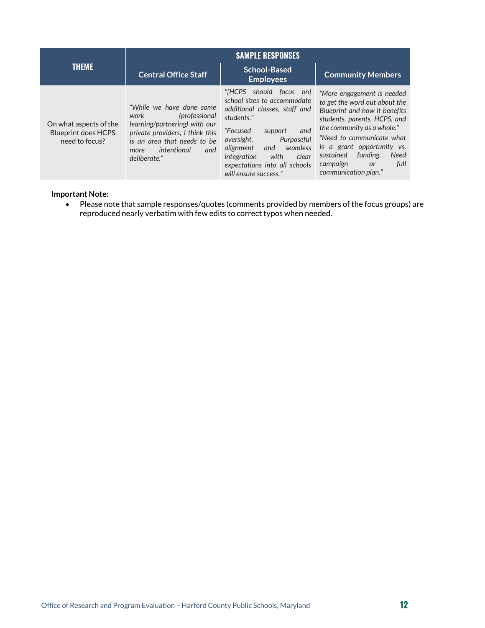|                                                                        | <b>SAMPLE RESPONSES</b>                                                                                                                                                                             |                                                                                                                                                                                                                                                                                              |                                                                                                                                                                                                                                                                                                                        |
|------------------------------------------------------------------------|-----------------------------------------------------------------------------------------------------------------------------------------------------------------------------------------------------|----------------------------------------------------------------------------------------------------------------------------------------------------------------------------------------------------------------------------------------------------------------------------------------------|------------------------------------------------------------------------------------------------------------------------------------------------------------------------------------------------------------------------------------------------------------------------------------------------------------------------|
| <b>THEME</b>                                                           | <b>Central Office Staff</b>                                                                                                                                                                         | <b>School-Based</b><br><b>Employees</b>                                                                                                                                                                                                                                                      | <b>Community Members</b>                                                                                                                                                                                                                                                                                               |
| On what aspects of the<br><b>Blueprint does HCPS</b><br>need to focus? | "While we have done some"<br>work<br>(professional<br>learning/partnering) with our<br>private providers. I think this<br>is an area that needs to be<br>intentional<br>and<br>more<br>deliberate." | "[HCPS]<br>should focus on<br>school sizes to accommodate<br>additional classes, staff and<br>students."<br>and<br>"Focused<br>support<br>oversight.<br>Purposeful<br>seamless<br>alignment<br>and<br>with<br>integration<br>clear<br>expectations into all schools<br>will ensure success." | "More engagement is needed<br>to get the word out about the<br>Blueprint and how it benefits<br>students, parents, HCPS, and<br>the community as a whole."<br>"Need to communicate what<br>is a grant opportunity vs.<br><b>Need</b><br>funding.<br>sustained<br>full<br>campaign<br><b>or</b><br>communication plan." |

#### **Important Note:**

• Please note that sample responses/quotes (comments provided by members of the focus groups) are reproduced nearly verbatim with few edits to correct typos when needed.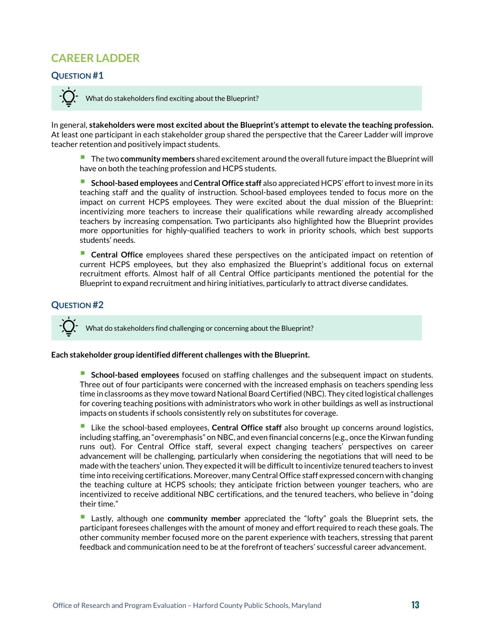## <span id="page-12-0"></span>**CAREER LADDER**

#### **QUESTION #1**

What do stakeholders find exciting about the Blueprint?

In general, **stakeholders were most excited about the Blueprint's attempt to elevate the teaching profession.**  At least one participant in each stakeholder group shared the perspective that the Career Ladder will improve teacher retention and positively impact students.

 The two **community members** shared excitement around the overall future impact the Blueprint will have on both the teaching profession and HCPS students.

 **School-based employees** and **Central Office staff** also appreciated HCPS' effort to invest more in its teaching staff and the quality of instruction. School-based employees tended to focus more on the impact on current HCPS employees. They were excited about the dual mission of the Blueprint: incentivizing more teachers to increase their qualifications while rewarding already accomplished teachers by increasing compensation. Two participants also highlighted how the Blueprint provides more opportunities for highly-qualified teachers to work in priority schools, which best supports students' needs.

 **Central Office** employees shared these perspectives on the anticipated impact on retention of current HCPS employees, but they also emphasized the Blueprint's additional focus on external recruitment efforts. Almost half of all Central Office participants mentioned the potential for the Blueprint to expand recruitment and hiring initiatives, particularly to attract diverse candidates.

#### **QUESTION #2**

What do stakeholders find challenging or concerning about the Blueprint?

#### **Each stakeholder group identified different challenges with the Blueprint.**

 **School-based employees** focused on staffing challenges and the subsequent impact on students. Three out of four participants were concerned with the increased emphasis on teachers spending less time in classrooms as they move toward National Board Certified (NBC). They cited logistical challenges for covering teaching positions with administrators who work in other buildings as well as instructional impacts on students if schools consistently rely on substitutes for coverage.

 Like the school-based employees, **Central Office staff** also brought up concerns around logistics, including staffing, an "overemphasis" on NBC, and even financial concerns (e.g., once the Kirwan funding runs out). For Central Office staff, several expect changing teachers' perspectives on career advancement will be challenging, particularly when considering the negotiations that will need to be made with the teachers' union. They expected it will be difficult to incentivize tenured teachers to invest time into receiving certifications. Moreover, many Central Office staff expressed concern with changing the teaching culture at HCPS schools; they anticipate friction between younger teachers, who are incentivized to receive additional NBC certifications, and the tenured teachers, who believe in "doing their time."

 Lastly, although one **community member** appreciated the "lofty" goals the Blueprint sets, the participant foresees challenges with the amount of money and effort required to reach these goals. The other community member focused more on the parent experience with teachers, stressing that parent feedback and communication need to be at the forefront of teachers' successful career advancement.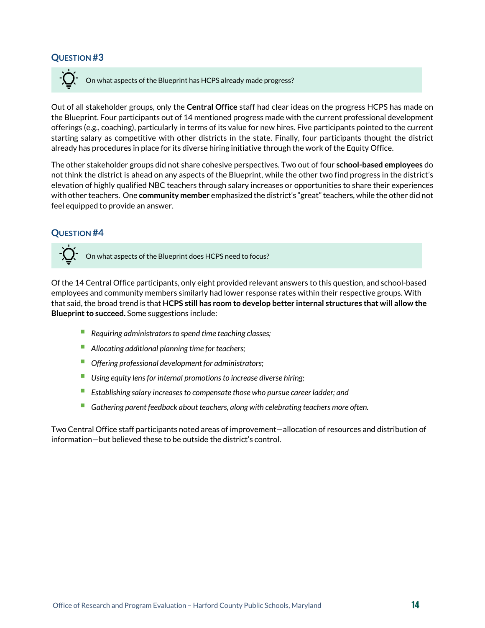#### **QUESTION #3**

On what aspects of the Blueprint has HCPS already made progress?

Out of all stakeholder groups, only the **Central Office** staff had clear ideas on the progress HCPS has made on the Blueprint. Four participants out of 14 mentioned progress made with the current professional development offerings (e.g., coaching), particularly in terms of its value for new hires. Five participants pointed to the current starting salary as competitive with other districts in the state. Finally, four participants thought the district already has procedures in place for its diverse hiring initiative through the work of the Equity Office.

The other stakeholder groups did not share cohesive perspectives. Two out of four **school-based employees** do not think the district is ahead on any aspects of the Blueprint, while the other two find progress in the district's elevation of highly qualified NBC teachers through salary increases or opportunities to share their experiences with other teachers. One **community member** emphasized the district's "great" teachers, while the other did not feel equipped to provide an answer.

#### **QUESTION #4**

On what aspects of the Blueprint does HCPS need to focus?

Of the 14 Central Office participants, only eight provided relevant answers to this question, and school-based employees and community members similarly had lower response rates within their respective groups. With that said, the broad trend is that **HCPS still has room to develop better internal structures that will allow the Blueprint to succeed.** Some suggestions include:

- *Requiring administrators to spend time teaching classes;*
- *Allocating additional planning time for teachers;*
- *Offering professional development for administrators;*
- *Using equity lens for internal promotions to increase diverse hiring;*
- *Establishing salary increases to compensate those who pursue career ladder; and*
- *Gathering parent feedback about teachers, along with celebrating teachers more often.*

Two Central Office staff participants noted areas of improvement—allocation of resources and distribution of information—but believed these to be outside the district's control.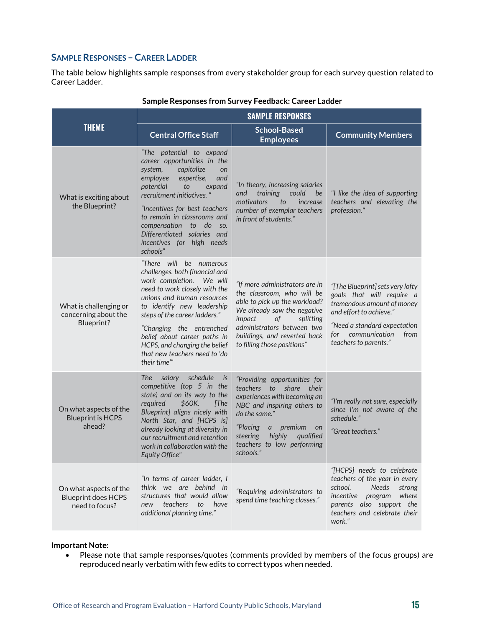#### **SAMPLE RESPONSES –CAREER LADDER**

The table below highlights sample responses from every stakeholder group for each survey question related to Career Ladder.

|                                                                        | <b>SAMPLE RESPONSES</b>                                                                                                                                                                                                                                                                                                                                          |                                                                                                                                                                                                                                                               |                                                                                                                                                                                                               |
|------------------------------------------------------------------------|------------------------------------------------------------------------------------------------------------------------------------------------------------------------------------------------------------------------------------------------------------------------------------------------------------------------------------------------------------------|---------------------------------------------------------------------------------------------------------------------------------------------------------------------------------------------------------------------------------------------------------------|---------------------------------------------------------------------------------------------------------------------------------------------------------------------------------------------------------------|
| <b>THEME</b>                                                           | <b>Central Office Staff</b>                                                                                                                                                                                                                                                                                                                                      | School-Based<br><b>Employees</b>                                                                                                                                                                                                                              | <b>Community Members</b>                                                                                                                                                                                      |
| What is exciting about<br>the Blueprint?                               | "The potential to expand<br>career opportunities in the<br>capitalize<br>system,<br>on<br>and<br>employee<br>expertise,<br>potential<br>to<br>expand<br>recruitment initiatives. "<br>"Incentives for best teachers<br>to remain in classrooms and<br>compensation to do<br>SO.<br>Differentiated salaries and<br>incentives for high needs<br>schools"          | "In theory, increasing salaries<br>training<br>could<br>and<br>be<br>motivators<br>to<br>increase<br>number of exemplar teachers<br>in front of students."                                                                                                    | "I like the idea of supporting<br>teachers and elevating the<br>profession."                                                                                                                                  |
| What is challenging or<br>concerning about the<br>Blueprint?           | "There will be numerous<br>challenges, both financial and<br>work completion. We will<br>need to work closely with the<br>unions and human resources<br>to identify new leadership<br>steps of the career ladders."<br>"Changing the entrenched<br>belief about career paths in<br>HCPS, and changing the belief<br>that new teachers need to 'do<br>their time" | "If more administrators are in<br>the classroom, who will be<br>able to pick up the workload?<br>We already saw the negative<br>of<br>impact<br>splitting<br>administrators between two<br>buildings, and reverted back<br>to filling those positions"        | "[The Blueprint] sets very lofty"<br>goals that will require a<br>tremendous amount of money<br>and effort to achieve."<br>"Need a standard expectation<br>for communication<br>from<br>teachers to parents." |
| On what aspects of the<br><b>Blueprint is HCPS</b><br>ahead?           | <b>The</b><br>salary schedule<br>is<br>competitive (top 5 in the<br>state) and on its way to the<br>\$60K.<br>required<br>[The]<br>Blueprint] aligns nicely with<br>North Star, and [HCPS is]<br>already looking at diversity in<br>our recruitment and retention<br>work in collaboration with the<br>Equity Office"                                            | "Providing opportunities for<br>teachers to<br>share<br>their<br>experiences with becoming an<br>NBC and inspiring others to<br>do the same."<br>"Placing<br>premium<br>a<br>on<br>highly<br>steering<br>qualified<br>teachers to low performing<br>schools." | "I'm really not sure, especially<br>since I'm not aware of the<br>schedule."<br>"Great teachers."                                                                                                             |
| On what aspects of the<br><b>Blueprint does HCPS</b><br>need to focus? | "In terms of career ladder, I<br>think we are behind in<br>structures that would allow<br>teachers<br>have<br>to<br>new<br>additional planning time."                                                                                                                                                                                                            | "Requiring administrators to<br>spend time teaching classes."                                                                                                                                                                                                 | "[HCPS] needs to celebrate<br>teachers of the year in every<br>school.<br><b>Needs</b><br>strong<br>where<br>incentive<br>program<br>parents also support the<br>teachers and celebrate their<br>work."       |

#### **Sample Responses from Survey Feedback: Career Ladder**

#### **Important Note:**

• Please note that sample responses/quotes (comments provided by members of the focus groups) are reproduced nearly verbatim with few edits to correct typos when needed.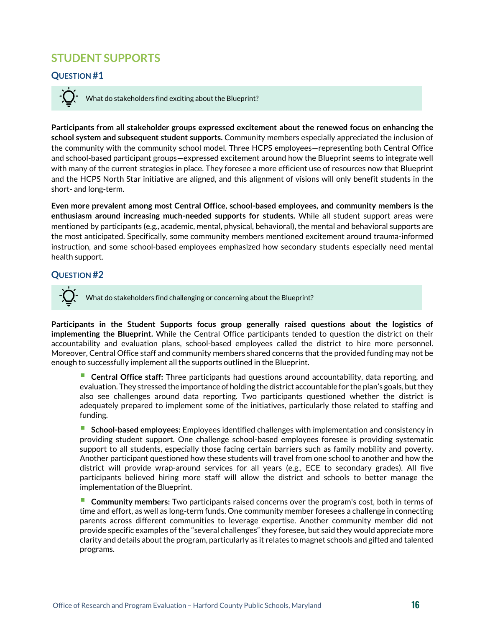## <span id="page-15-0"></span>**STUDENT SUPPORTS**

#### **QUESTION #1**

What do stakeholders find exciting about the Blueprint?

**Participants from all stakeholder groups expressed excitement about the renewed focus on enhancing the school system and subsequent student supports.** Community members especially appreciated the inclusion of the community with the community school model. Three HCPS employees—representing both Central Office and school-based participant groups—expressed excitement around how the Blueprint seems to integrate well with many of the current strategies in place. They foresee a more efficient use of resources now that Blueprint and the HCPS North Star initiative are aligned, and this alignment of visions will only benefit students in the short- and long-term.

**Even more prevalent among most Central Office, school-based employees, and community members is the enthusiasm around increasing much-needed supports for students.** While all student support areas were mentioned by participants (e.g., academic, mental, physical, behavioral), the mental and behavioral supports are the most anticipated. Specifically, some community members mentioned excitement around trauma-informed instruction, and some school-based employees emphasized how secondary students especially need mental health support.

#### **QUESTION #2**

What do stakeholders find challenging or concerning about the Blueprint?

**Participants in the Student Supports focus group generally raised questions about the logistics of implementing the Blueprint.** While the Central Office participants tended to question the district on their accountability and evaluation plans, school-based employees called the district to hire more personnel. Moreover, Central Office staff and community members shared concerns that the provided funding may not be enough to successfully implement all the supports outlined in the Blueprint.

 **Central Office staff:** Three participants had questions around accountability, data reporting, and evaluation. They stressed the importance of holding the district accountable for the plan's goals, but they also see challenges around data reporting. Two participants questioned whether the district is adequately prepared to implement some of the initiatives, particularly those related to staffing and funding.

 **School-based employees:** Employees identified challenges with implementation and consistency in providing student support. One challenge school-based employees foresee is providing systematic support to all students, especially those facing certain barriers such as family mobility and poverty. Another participant questioned how these students will travel from one school to another and how the district will provide wrap-around services for all years (e.g., ECE to secondary grades). All five participants believed hiring more staff will allow the district and schools to better manage the implementation of the Blueprint.

 **Community members:** Two participants raised concerns over the program's cost, both in terms of time and effort, as well as long-term funds. One community member foresees a challenge in connecting parents across different communities to leverage expertise. Another community member did not provide specific examples of the "several challenges" they foresee, but said they would appreciate more clarity and details aboutthe program, particularly as it relates to magnet schools and gifted and talented programs.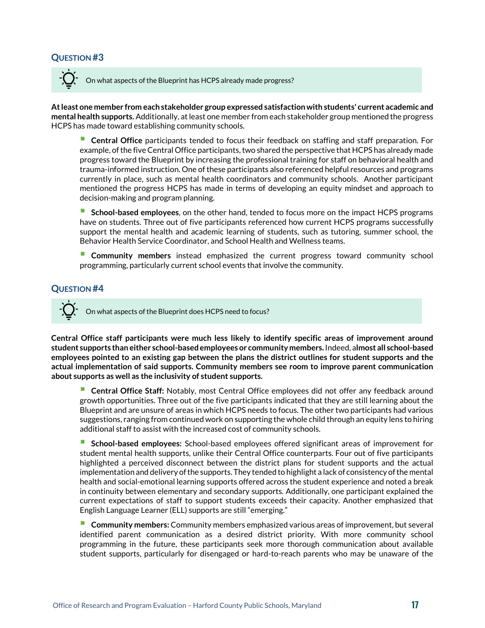#### **QUESTION #3**

On what aspects of the Blueprint has HCPS already made progress?

**At least one member from each stakeholder group expressed satisfaction with students' current academic and mental health supports.** Additionally, at least one member from each stakeholder group mentioned the progress HCPS has made toward establishing community schools.

 **Central Office** participants tended to focus their feedback on staffing and staff preparation. For example, of the five Central Office participants, two shared the perspective that HCPS has already made progress toward the Blueprint by increasing the professional training for staff on behavioral health and trauma-informed instruction. One of these participants also referenced helpful resources and programs currently in place, such as mental health coordinators and community schools. Another participant mentioned the progress HCPS has made in terms of developing an equity mindset and approach to decision-making and program planning.

**School-based employees**, on the other hand, tended to focus more on the impact HCPS programs have on students. Three out of five participants referenced how current HCPS programs successfully support the mental health and academic learning of students, such as tutoring, summer school, the Behavior Health Service Coordinator, and School Health and Wellness teams.

 **Community members** instead emphasized the current progress toward community school programming, particularly current school events that involve the community.

#### **QUESTION #4**

On what aspects of the Blueprint does HCPS need to focus?

**Central Office staff participants were much less likely to identify specific areas of improvement around student supports than either school-based employees or community members.** Indeed, a**lmost all school-based employees pointed to an existing gap between the plans the district outlines for student supports and the actual implementation of said supports. Community members see room to improve parent communication about supports as well as the inclusivity of student supports.** 

 **Central Office Staff:** Notably, most Central Office employees did not offer any feedback around growth opportunities. Three out of the five participants indicated that they are still learning about the Blueprint and are unsure of areas in which HCPS needs to focus. The other two participants had various suggestions, ranging from continued work on supporting the whole child through an equity lens to hiring additional staff to assist with the increased cost of community schools.

 **School-based employees:** School-based employees offered significant areas of improvement for student mental health supports, unlike their Central Office counterparts. Four out of five participants highlighted a perceived disconnect between the district plans for student supports and the actual implementation and delivery of the supports. They tended to highlight a lack of consistency of the mental health and social-emotional learning supports offered across the student experience and noted a break in continuity between elementary and secondary supports. Additionally, one participant explained the current expectations of staff to support students exceeds their capacity. Another emphasized that English Language Learner (ELL) supports are still "emerging."

 **Community members:** Community members emphasized various areas of improvement, but several identified parent communication as a desired district priority. With more community school programming in the future, these participants seek more thorough communication about available student supports, particularly for disengaged or hard-to-reach parents who may be unaware of the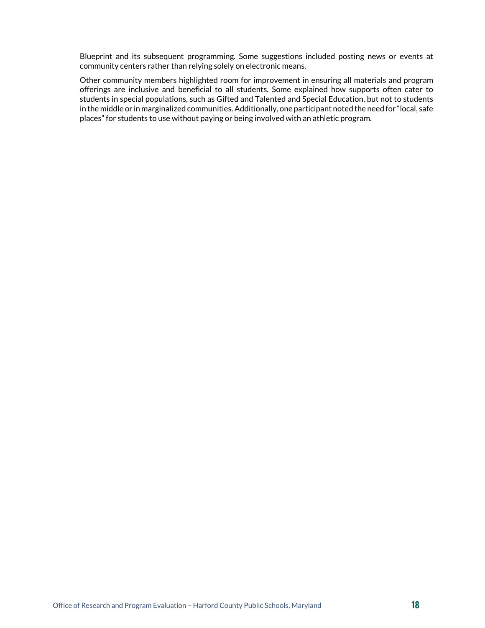Blueprint and its subsequent programming. Some suggestions included posting news or events at community centers rather than relying solely on electronic means.

Other community members highlighted room for improvement in ensuring all materials and program offerings are inclusive and beneficial to all students. Some explained how supports often cater to students in special populations, such as Gifted and Talented and Special Education, but not to students in the middle or in marginalized communities. Additionally, one participant noted the need for "local, safe places" for students to use without paying or being involved with an athletic program.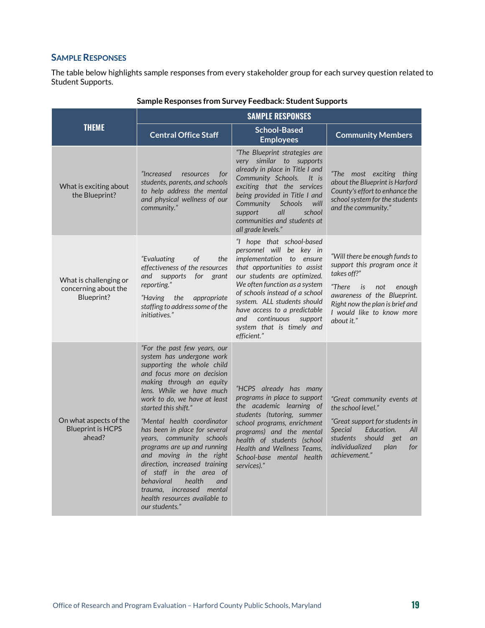#### **SAMPLE RESPONSES**

The table below highlights sample responses from every stakeholder group for each survey question related to Student Supports.

|                                                              | <b>SAMPLE RESPONSES</b>                                                                                                                                                                                                                                                                                                                                                                                                                                                                                                                                              |                                                                                                                                                                                                                                                                                                                                                                |                                                                                                                                                                                                                          |
|--------------------------------------------------------------|----------------------------------------------------------------------------------------------------------------------------------------------------------------------------------------------------------------------------------------------------------------------------------------------------------------------------------------------------------------------------------------------------------------------------------------------------------------------------------------------------------------------------------------------------------------------|----------------------------------------------------------------------------------------------------------------------------------------------------------------------------------------------------------------------------------------------------------------------------------------------------------------------------------------------------------------|--------------------------------------------------------------------------------------------------------------------------------------------------------------------------------------------------------------------------|
| <b>THEME</b>                                                 | <b>Central Office Staff</b>                                                                                                                                                                                                                                                                                                                                                                                                                                                                                                                                          | School-Based<br><b>Employees</b>                                                                                                                                                                                                                                                                                                                               | <b>Community Members</b>                                                                                                                                                                                                 |
| What is exciting about<br>the Blueprint?                     | "Increased<br>resources<br>for<br>students, parents, and schools<br>to help address the mental<br>and physical wellness of our<br>community."                                                                                                                                                                                                                                                                                                                                                                                                                        | "The Blueprint strategies are<br>very similar to supports<br>already in place in Title I and<br>Community Schools.<br>It is<br>exciting that the services<br>being provided in Title I and<br>Community<br>Schools<br>will<br>all<br>school<br>support<br>communities and students at<br>all grade levels."                                                    | "The most exciting thing<br>about the Blueprint is Harford<br>County's effort to enhance the<br>school system for the students<br>and the community."                                                                    |
| What is challenging or<br>concerning about the<br>Blueprint? | "Evaluating<br>the<br>of<br>effectiveness of the resources<br>and supports<br>for grant<br>reporting."<br>the<br>appropriate<br>"Having<br>staffing to address some of the<br>initiatives."                                                                                                                                                                                                                                                                                                                                                                          | "I hope that school-based<br>personnel will be key in<br>implementation to ensure<br>that opportunities to assist<br>our students are optimized.<br>We often function as a system<br>of schools instead of a school<br>system. ALL students should<br>have access to a predictable<br>continuous<br>and<br>support<br>system that is timely and<br>efficient." | "Will there be enough funds to<br>support this program once it<br>takes off?"<br>"There is<br>enough<br>not<br>awareness of the Blueprint.<br>Right now the plan is brief and<br>I would like to know more<br>about it." |
| On what aspects of the<br><b>Blueprint is HCPS</b><br>ahead? | "For the past few years, our<br>system has undergone work<br>supporting the whole child<br>and focus more on decision<br>making through an equity<br>lens. While we have much<br>work to do, we have at least<br>started this shift."<br>"Mental health coordinator<br>has been in place for several<br>years, community schools<br>programs are up and running<br>and moving in the right<br>direction, increased training<br>of staff in the area of<br>behavioral<br>health<br>and<br>trauma, increased mental<br>health resources available to<br>our students." | "HCPS already has many<br>programs in place to support<br>the academic learning of<br>students (tutoring, summer<br>school programs, enrichment<br>programs) and the mental<br>health of students (school<br>Health and Wellness Teams.<br>School-base mental health<br>services)."                                                                            | "Great community events at<br>the school level."<br>"Great support for students in<br>Education.<br><b>Special</b><br>All<br>students should<br>get<br>an<br>individualized<br>plan<br>for<br>achievement."              |

#### **Sample Responses from Survey Feedback: Student Supports**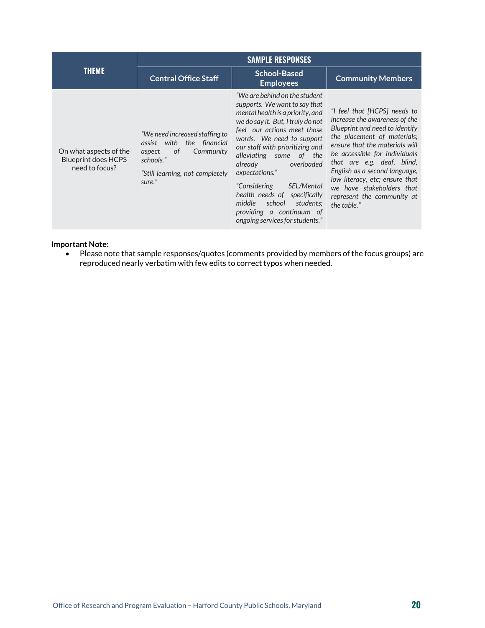|                                                                        | <b>SAMPLE RESPONSES</b>                                                                                                                                  |                                                                                                                                                                                                                                                                                                                                                                                                                                                                             |                                                                                                                                                                                                                                                                                                                                                                              |
|------------------------------------------------------------------------|----------------------------------------------------------------------------------------------------------------------------------------------------------|-----------------------------------------------------------------------------------------------------------------------------------------------------------------------------------------------------------------------------------------------------------------------------------------------------------------------------------------------------------------------------------------------------------------------------------------------------------------------------|------------------------------------------------------------------------------------------------------------------------------------------------------------------------------------------------------------------------------------------------------------------------------------------------------------------------------------------------------------------------------|
| <b>THEME</b>                                                           | <b>Central Office Staff</b>                                                                                                                              | <b>School-Based</b><br><b>Employees</b>                                                                                                                                                                                                                                                                                                                                                                                                                                     | <b>Community Members</b>                                                                                                                                                                                                                                                                                                                                                     |
| On what aspects of the<br><b>Blueprint does HCPS</b><br>need to focus? | "We need increased staffing to<br>the financial<br>with<br>assist<br>Community<br>0f<br>aspect<br>schools."<br>"Still learning, not completely<br>sure." | "We are behind on the student"<br>supports. We want to say that<br>mental health is a priority, and<br>we do say it. But, I truly do not<br>feel our actions meet those<br>words. We need to support<br>our staff with prioritizing and<br>alleviating some of the<br>already<br>overloaded<br>expectations."<br>"Considering<br>SEL/Mental<br>health needs of specifically<br>school<br>middle<br>students:<br>providing a continuum of<br>ongoing services for students." | "I feel that [HCPS] needs to<br>increase the awareness of the<br>Blueprint and need to identify<br>the placement of materials;<br>ensure that the materials will<br>be accessible for individuals<br>that are e.g. deaf, blind,<br>English as a second language,<br>low literacy, etc; ensure that<br>we have stakeholders that<br>represent the community at<br>the table." |

#### **Important Note:**

• Please note that sample responses/quotes (comments provided by members of the focus groups) are reproduced nearly verbatim with few edits to correct typos when needed.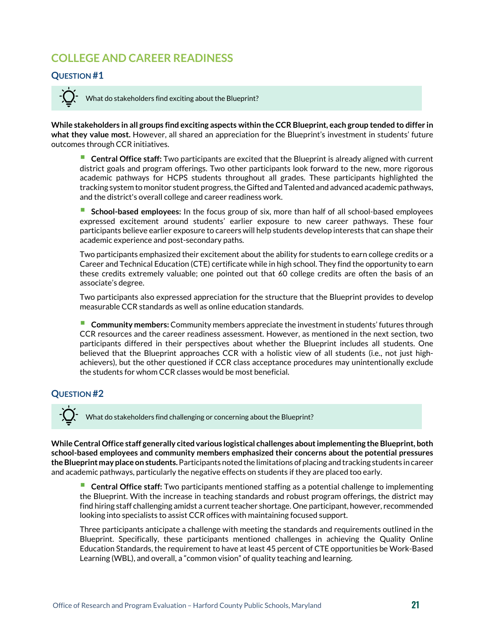# <span id="page-20-0"></span>**COLLEGE AND CAREER READINESS**

#### **QUESTION #1**

What do stakeholders find exciting about the Blueprint?

**While stakeholders in all groups find exciting aspects within the CCR Blueprint, each group tended to differ in what they value most.** However, all shared an appreciation for the Blueprint's investment in students' future outcomes through CCR initiatives.

 **Central Office staff:** Two participants are excited that the Blueprint is already aligned with current district goals and program offerings. Two other participants look forward to the new, more rigorous academic pathways for HCPS students throughout all grades. These participants highlighted the tracking system to monitor student progress, the Gifted and Talented and advanced academic pathways, and the district's overall college and career readiness work.

 **School-based employees:** In the focus group of six, more than half of all school-based employees expressed excitement around students' earlier exposure to new career pathways. These four participants believe earlier exposure to careers will help students develop interests that can shape their academic experience and post-secondary paths.

Two participants emphasized their excitement about the ability for students to earn college credits or a Career and Technical Education (CTE) certificate while in high school. They find the opportunity to earn these credits extremely valuable; one pointed out that 60 college credits are often the basis of an associate's degree.

Two participants also expressed appreciation for the structure that the Blueprint provides to develop measurable CCR standards as well as online education standards.

 **Community members:** Community members appreciate the investment in students' futures through CCR resources and the career readiness assessment. However, as mentioned in the next section, two participants differed in their perspectives about whether the Blueprint includes all students. One believed that the Blueprint approaches CCR with a holistic view of all students (i.e., not just highachievers), but the other questioned if CCR class acceptance procedures may unintentionally exclude the students for whom CCR classes would be most beneficial.

#### **QUESTION #2**

What do stakeholders find challenging or concerning about the Blueprint?

**While Central Office staff generally cited various logistical challenges about implementing the Blueprint, both school-based employees and community members emphasized their concerns about the potential pressures the Blueprint may place on students.**Participants noted the limitations of placing and tracking students in career and academic pathways, particularly the negative effects on students if they are placed too early.

 **Central Office staff:** Two participants mentioned staffing as a potential challenge to implementing the Blueprint. With the increase in teaching standards and robust program offerings, the district may find hiring staff challenging amidst a current teacher shortage. One participant, however, recommended looking into specialists to assist CCR offices with maintaining focused support.

Three participants anticipate a challenge with meeting the standards and requirements outlined in the Blueprint. Specifically, these participants mentioned challenges in achieving the Quality Online Education Standards, the requirement to have at least 45 percent of CTE opportunities be Work-Based Learning (WBL), and overall, a "common vision" of quality teaching and learning.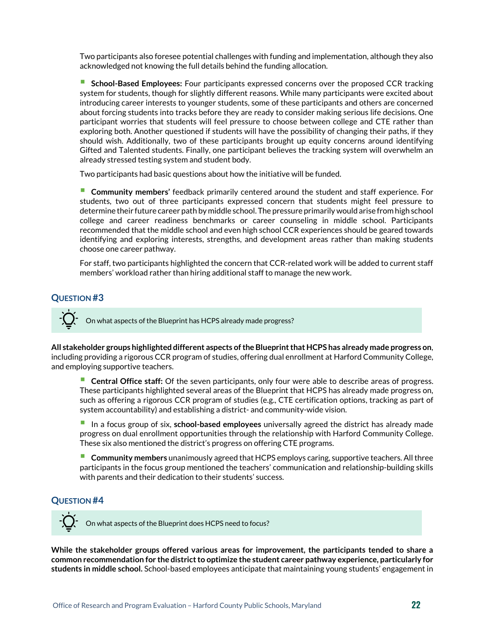Two participants also foresee potential challenges with funding and implementation, although they also acknowledged not knowing the full details behind the funding allocation.

 **School-Based Employees:** Four participants expressed concerns over the proposed CCR tracking system for students, though for slightly different reasons. While many participants were excited about introducing career interests to younger students, some of these participants and others are concerned about forcing students into tracks before they are ready to consider making serious life decisions. One participant worries that students will feel pressure to choose between college and CTE rather than exploring both. Another questioned if students will have the possibility of changing their paths, if they should wish. Additionally, two of these participants brought up equity concerns around identifying Gifted and Talented students. Finally, one participant believes the tracking system will overwhelm an already stressed testing system and student body.

Two participants had basic questions about how the initiative will be funded.

 **Community members'** feedback primarily centered around the student and staff experience. For students, two out of three participants expressed concern that students might feel pressure to determine their future career path by middle school. The pressure primarily would arise from high school college and career readiness benchmarks or career counseling in middle school. Participants recommended that the middle school and even high school CCR experiences should be geared towards identifying and exploring interests, strengths, and development areas rather than making students choose one career pathway.

For staff, two participants highlighted the concern that CCR-related work will be added to current staff members' workload rather than hiring additional staff to manage the new work.

#### **QUESTION #3**

On what aspects of the Blueprint has HCPS already made progress?

**All stakeholder groups highlighted different aspects of the Blueprint that HCPS has already made progress on**, including providing a rigorous CCR program of studies, offering dual enrollment at Harford Community College, and employing supportive teachers.

 **Central Office staff:** Of the seven participants, only four were able to describe areas of progress. These participants highlighted several areas of the Blueprint that HCPS has already made progress on, such as offering a rigorous CCR program of studies (e.g., CTE certification options, tracking as part of system accountability) and establishing a district- and community-wide vision.

 In a focus group of six, **school-based employees** universally agreed the district has already made progress on dual enrollment opportunities through the relationship with Harford Community College. These six also mentioned the district's progress on offering CTE programs.

 **Community members** unanimously agreed that HCPS employs caring, supportive teachers. All three participants in the focus group mentioned the teachers' communication and relationship-building skills with parents and their dedication to their students' success.

#### **QUESTION #4**

On what aspects of the Blueprint does HCPS need to focus?

**While the stakeholder groups offered various areas for improvement, the participants tended to share a common recommendation for the district to optimize the student career pathway experience, particularly for students in middle school.** School-based employees anticipate that maintaining young students' engagement in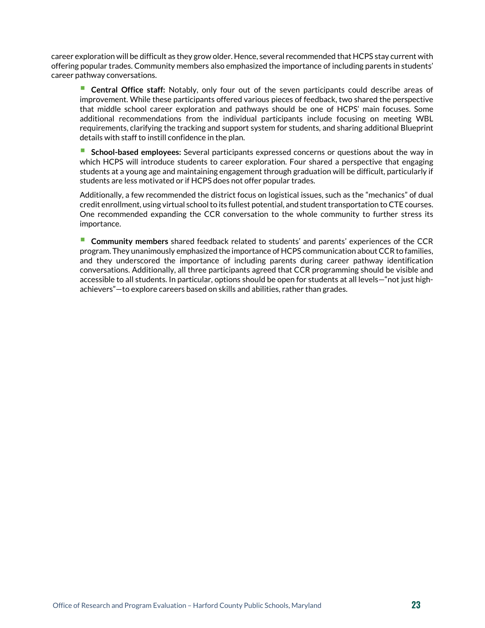career exploration will be difficult as they grow older. Hence, several recommended that HCPS stay current with offering popular trades. Community members also emphasized the importance of including parents in students' career pathway conversations.

 **Central Office staff:** Notably, only four out of the seven participants could describe areas of improvement. While these participants offered various pieces of feedback, two shared the perspective that middle school career exploration and pathways should be one of HCPS' main focuses. Some additional recommendations from the individual participants include focusing on meeting WBL requirements, clarifying the tracking and support system for students, and sharing additional Blueprint details with staff to instill confidence in the plan.

 **School-based employees:** Several participants expressed concerns or questions about the way in which HCPS will introduce students to career exploration. Four shared a perspective that engaging students at a young age and maintaining engagement through graduation will be difficult, particularly if students are less motivated or if HCPS does not offer popular trades.

Additionally, a few recommended the district focus on logistical issues, such as the "mechanics" of dual credit enrollment, using virtual school to its fullest potential, and student transportation to CTE courses. One recommended expanding the CCR conversation to the whole community to further stress its importance.

 **Community members** shared feedback related to students' and parents' experiences of the CCR program. They unanimously emphasized the importance of HCPS communication about CCR to families, and they underscored the importance of including parents during career pathway identification conversations. Additionally, all three participants agreed that CCR programming should be visible and accessible to all students. In particular, options should be open for students at all levels—"not just highachievers"—to explore careers based on skills and abilities, rather than grades.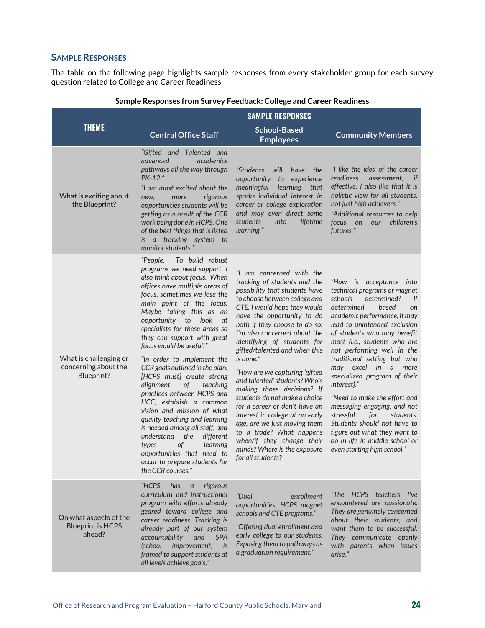#### **SAMPLE RESPONSES**

The table on the following page highlights sample responses from every stakeholder group for each survey question related to College and Career Readiness.

|                                                              | <b>SAMPLE RESPONSES</b>                                                                                                                                                                                                                                                                                                                                                                                                                                                                                                                                                                                                                                                                                                                                                              |                                                                                                                                                                                                                                                                                                                                                                                                                                                                                                                                                                                                                                                                                            |                                                                                                                                                                                                                                                                                                                                                                                                                                                                                                                                                                                                                        |
|--------------------------------------------------------------|--------------------------------------------------------------------------------------------------------------------------------------------------------------------------------------------------------------------------------------------------------------------------------------------------------------------------------------------------------------------------------------------------------------------------------------------------------------------------------------------------------------------------------------------------------------------------------------------------------------------------------------------------------------------------------------------------------------------------------------------------------------------------------------|--------------------------------------------------------------------------------------------------------------------------------------------------------------------------------------------------------------------------------------------------------------------------------------------------------------------------------------------------------------------------------------------------------------------------------------------------------------------------------------------------------------------------------------------------------------------------------------------------------------------------------------------------------------------------------------------|------------------------------------------------------------------------------------------------------------------------------------------------------------------------------------------------------------------------------------------------------------------------------------------------------------------------------------------------------------------------------------------------------------------------------------------------------------------------------------------------------------------------------------------------------------------------------------------------------------------------|
| <b>THEME</b>                                                 | <b>Central Office Staff</b>                                                                                                                                                                                                                                                                                                                                                                                                                                                                                                                                                                                                                                                                                                                                                          | <b>School-Based</b><br><b>Employees</b>                                                                                                                                                                                                                                                                                                                                                                                                                                                                                                                                                                                                                                                    | <b>Community Members</b>                                                                                                                                                                                                                                                                                                                                                                                                                                                                                                                                                                                               |
| What is exciting about<br>the Blueprint?                     | "Gifted and Talented and<br>advanced<br><i>academics</i><br>pathways all the way through<br>PK-12."<br>"I am most excited about the<br>more<br>rigorous<br>new,<br>opportunities students will be<br>getting as a result of the CCR<br>work being done in HCPS. One<br>of the best things that is listed<br>is a tracking system to<br>monitor students."                                                                                                                                                                                                                                                                                                                                                                                                                            | "Students<br>will<br>have.<br>the<br>opportunity<br>experience<br>to<br>learning<br>meaningful<br>that<br>sparks individual interest in<br>career or college exploration<br>and may even direct some<br>students<br>lifetime<br>into<br>learning."                                                                                                                                                                                                                                                                                                                                                                                                                                         | "I like the idea of the career<br>readiness<br>assessment,<br>if<br>effective. I also like that it is<br>holistic view for all students,<br>not just high achievers."<br>"Additional resources to help<br>children's<br>focus<br>on<br>our<br>futures."                                                                                                                                                                                                                                                                                                                                                                |
| What is challenging or<br>concerning about the<br>Blueprint? | To build robust<br>"People.<br>programs we need support. I<br>also think about focus. When<br>offices have multiple areas of<br>focus, sometimes we lose the<br>main point of the focus.<br>Maybe taking this as an<br>opportunity to look<br>at<br>specialists for these areas so<br>they can support with great<br>focus would be useful!"<br>"In order to implement the<br>CCR goals outlined in the plan,<br>[HCPS must] create strong<br>alignment<br>of<br>teaching<br>practices between HCPS and<br>HCC, establish a common<br>vision and mission of what<br>quality teaching and learning<br>is needed among all staff, and<br>different<br>understand<br>the<br>types<br>of<br>learning<br>opportunities that need to<br>occur to prepare students for<br>the CCR courses." | "I am concerned with the<br>tracking of students and the<br>possibility that students have<br>to choose between college and<br>CTE. I would hope they would<br>have the opportunity to do<br>both if they choose to do so.<br>I'm also concerned about the<br>identifying of students for<br>gifted/talented and when this<br>is done."<br>"How are we capturing 'gifted<br>and talented' students? Who's<br>making those decisions? If<br>students do not make a choice<br>for a career or don't have an<br>interest in college at an early<br>age, are we just moving them<br>to a trade? What happens<br>when/if they change their<br>minds? Where is the exposure<br>for all students? | "How is acceptance into<br>technical programs or magnet<br>schools<br>determined?<br>If<br>determined<br>based<br>on<br>academic performance, it may<br>lead to unintended exclusion<br>of students who may benefit<br>most (i.e., students who are<br>not performing well in the<br>traditional setting but who<br>may excel in a more<br>specialized program of their<br>interest)."<br>"Need to make the effort and<br>messaging engaging, and not<br>stressful<br>for<br>students.<br>Students should not have to<br>figure out what they want to<br>do in life in middle school or<br>even starting high school." |
| On what aspects of the<br><b>Blueprint is HCPS</b><br>ahead? | "HCPS<br>has<br>rigorous<br>$\overline{a}$<br>curriculum and instructional<br>program with efforts already<br>geared toward college and<br>career readiness. Tracking is<br>already part of our system<br><b>SPA</b><br>accountability<br>and<br>improvement)<br><i>(school</i><br>is<br>framed to support students at<br>all levels achieve goals."                                                                                                                                                                                                                                                                                                                                                                                                                                 | "Dual<br>enrollment<br>opportunities. HCPS magnet<br>schools and CTE programs."<br>"Offering dual enrollment and<br>early college to our students.<br>Exposing them to pathways as<br>a graduation requirement."                                                                                                                                                                                                                                                                                                                                                                                                                                                                           | "The HCPS teachers I've<br>encountered are passionate.<br>They are genuinely concerned<br>about their students, and<br>want them to be successful.<br>They communicate openly<br>with parents when issues<br>arise."                                                                                                                                                                                                                                                                                                                                                                                                   |

#### **Sample Responses from Survey Feedback: College and Career Readiness**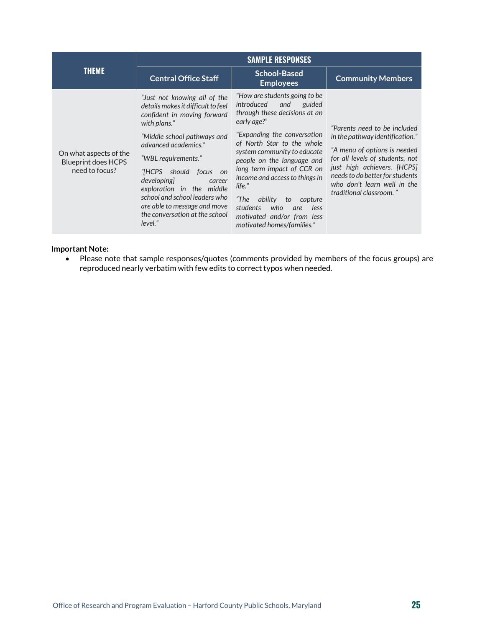|                                                                        | <b>SAMPLE RESPONSES</b>                                                                                                                                                                                                                                                                                                                                                                                     |                                                                                                                                                                                                                                                                                                                                                                                                                                                    |                                                                                                                                                                                                                                                                |
|------------------------------------------------------------------------|-------------------------------------------------------------------------------------------------------------------------------------------------------------------------------------------------------------------------------------------------------------------------------------------------------------------------------------------------------------------------------------------------------------|----------------------------------------------------------------------------------------------------------------------------------------------------------------------------------------------------------------------------------------------------------------------------------------------------------------------------------------------------------------------------------------------------------------------------------------------------|----------------------------------------------------------------------------------------------------------------------------------------------------------------------------------------------------------------------------------------------------------------|
| <b>THEME</b>                                                           | <b>Central Office Staff</b>                                                                                                                                                                                                                                                                                                                                                                                 | <b>School-Based</b><br><b>Employees</b>                                                                                                                                                                                                                                                                                                                                                                                                            | <b>Community Members</b>                                                                                                                                                                                                                                       |
| On what aspects of the<br><b>Blueprint does HCPS</b><br>need to focus? | "Just not knowing all of the<br>details makes it difficult to feel<br>confident in moving forward<br>with plans."<br>"Middle school pathways and<br>advanced academics."<br>"WBL requirements."<br>"[HCPS should focus<br><sub>on</sub><br>developing]<br>career<br>exploration in the middle<br>school and school leaders who<br>are able to message and move<br>the conversation at the school<br>level." | "How are students going to be<br>introduced<br>and<br>guided<br>through these decisions at an<br>early age?"<br>"Expanding the conversation<br>of North Star to the whole<br>system community to educate<br>people on the language and<br>long term impact of CCR on<br>income and access to things in<br>life."<br>"The<br>ability<br>to<br>capture<br>students<br>less<br>who<br>are<br>motivated and/or from less<br>motivated homes/families." | "Parents need to be included<br>in the pathway identification."<br>"A menu of options is needed<br>for all levels of students, not<br>just high achievers. [HCPS]<br>needs to do better for students<br>who don't learn well in the<br>traditional classroom." |

#### **Important Note:**

• Please note that sample responses/quotes (comments provided by members of the focus groups) are reproduced nearly verbatim with few edits to correct typos when needed.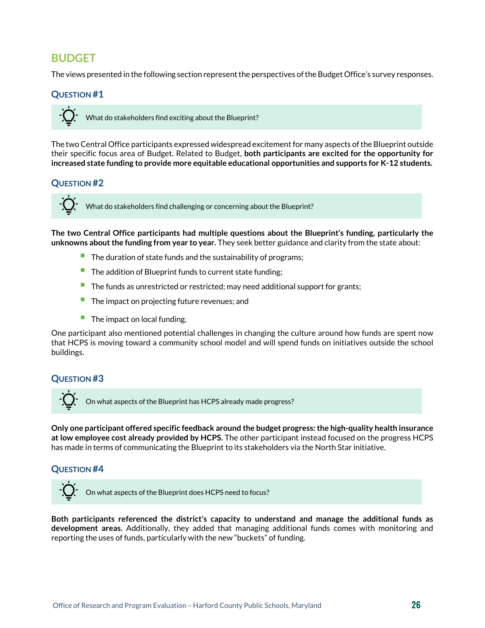### <span id="page-25-0"></span>**BUDGET**

The views presented in the following section represent the perspectives of the Budget Office's survey responses.

#### **QUESTION #1**



The two Central Office participants expressed widespread excitement for many aspects of the Blueprint outside their specific focus area of Budget. Related to Budget, **both participants are excited for the opportunity for increased state funding to provide more equitable educational opportunities and supports for K-12 students.**

#### **QUESTION #2**



What do stakeholders find challenging or concerning about the Blueprint?

**The two Central Office participants had multiple questions about the Blueprint's funding, particularly the unknowns about the funding from year to year.** They seek better guidance and clarity from the state about:

- The duration of state funds and the sustainability of programs;
- The addition of Blueprint funds to current state funding;
- The funds as unrestricted or restricted; may need <sup>a</sup>dditional support for <sup>g</sup>rants;
- $\blacksquare$  The impact on projecting future revenues; and
- $\blacksquare$  The impact on local funding.

One participant also mentioned potential challenges in changing the culture around how funds are spent now that HCPS is moving toward a community school model and will spend funds on initiatives outside the school buildings.

#### **QUESTION #3**



**Only one participant offered specific feedback around the budget progress: the high-quality health insurance at low employee cost already provided by HCPS.** The other participant instead focused on the progress HCPS has made in terms of communicating the Blueprint to its stakeholders via the North Star initiative.

#### **QUESTION #4**

On what aspects of the Blueprint does HCPS need to focus?

**Both participants referenced the district's capacity to understand and manage the additional funds as development areas.** Additionally, they added that managing additional funds comes with monitoring and reporting the uses of funds, particularly with the new "buckets" of funding.